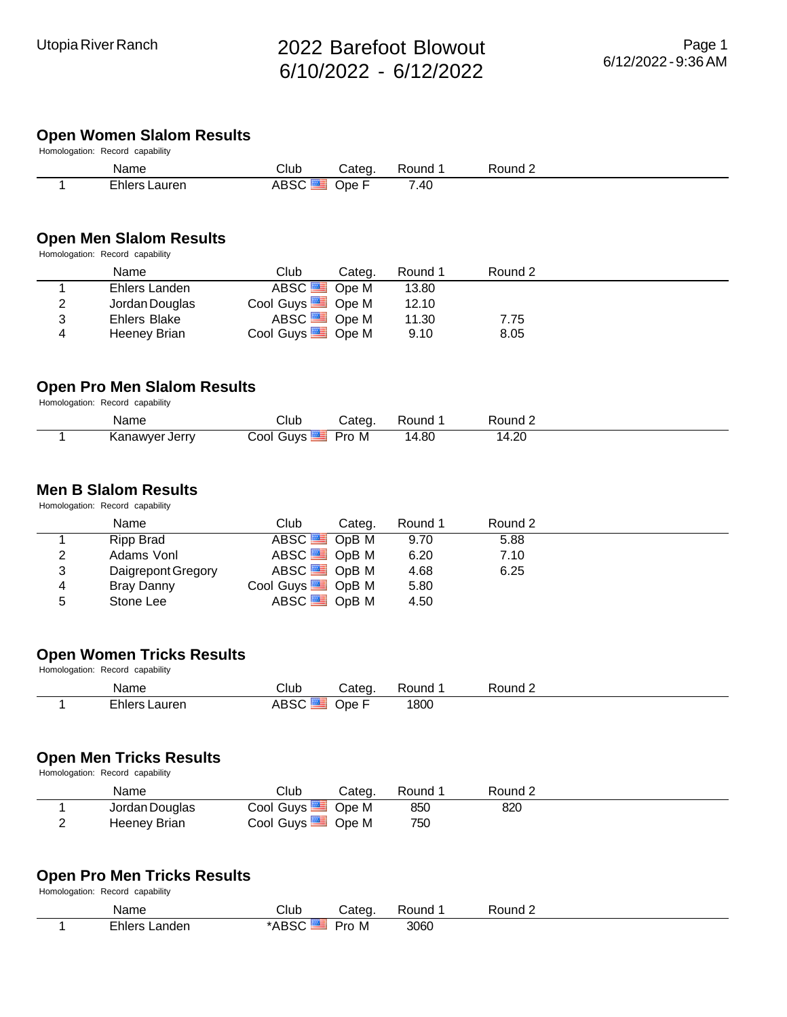## **Open Women Slalom Results**

| Homologation: Record capability |               |        |        |         |         |  |  |  |  |  |
|---------------------------------|---------------|--------|--------|---------|---------|--|--|--|--|--|
|                                 | Name          | Club   | Cateɑ. | Round 1 | Round 2 |  |  |  |  |  |
|                                 | Ehlers Lauren | ABSC ■ | Ope F  | 7.40    |         |  |  |  |  |  |

#### **Open Men Slalom Results**

Homologation: Record capability

|   | Name           | Club                        | Categ. | Round 1 | Round 2 |  |
|---|----------------|-----------------------------|--------|---------|---------|--|
|   | Ehlers Landen  | ABSC <sup>S</sup> Ope M     |        | 13.80   |         |  |
| 2 | Jordan Douglas | Cool Guys <b>Cool</b> Ope M |        | 12.10   |         |  |
| 3 | Ehlers Blake   | ABSC <sup>SS</sup> Ope M    |        | 11.30   | 7.75    |  |
| 4 | Heeney Brian   | Cool Guys <b>De M</b>       |        | 9.10    | 8.05    |  |

#### **Open Pro Men Slalom Results**

Homologation: Record capability

| Name           | Club                    | Categ. | Round | Round 2 |  |
|----------------|-------------------------|--------|-------|---------|--|
| Kanawyer Jerry | Guys <b>二</b><br>Cool ′ | Pro M  | 14.80 | 14.20   |  |

#### **Men B Slalom Results**

Homologation: Record capability

|   | Name               | Club                         | Round 1<br>Categ. | Round 2 |  |
|---|--------------------|------------------------------|-------------------|---------|--|
|   | Ripp Brad          | ABSC <sup>SS</sup> OpB M     | 9.70              | 5.88    |  |
| 2 | Adams Vonl         | ABSC <sup>SS</sup> OpBM      | 6.20              | 7.10    |  |
| 3 | Daigrepont Gregory | ABSC <sup>SS</sup> OpB M     | 4.68              | 6.25    |  |
| 4 | Bray Danny         | Cool Guys <sup>5</sup> OpB M | 5.80              |         |  |
| 5 | Stone Lee          | ABSC <sup>SS</sup> OpBM      | 4.50              |         |  |

### **Open Women Tricks Results**

Homologation: Record capability

| Name                                | $\mathsf{C}$ lub<br>- - - | ateα | ound: | Round |  |
|-------------------------------------|---------------------------|------|-------|-------|--|
| - 1<br>∟hler<br>.auren<br>.<br>$ -$ | ᠂<br>∍.<br>____           | ⊾∩ו  | 1800  |       |  |

#### **Open Men Tricks Results**

Homologation: Record capability

| Name           | Club                           | Cateɑ. | Round 1 | Round 2 |  |
|----------------|--------------------------------|--------|---------|---------|--|
| Jordan Douglas | Cool Guys $\equiv$ Ope M       |        | 850     | 820     |  |
| Heeney Brian   | Cool Guys $\blacksquare$ Ope M |        | 750     |         |  |

#### **Open Pro Men Tricks Results**

Homologation: Record capability

| Name              | Club  | Categ    | ≺ound<br>᠇᠊ᡳ | Round $\sim$ |  |
|-------------------|-------|----------|--------------|--------------|--|
| Ehlers<br>Landen. | *ABS∟ | M<br>Pro | 3060         |              |  |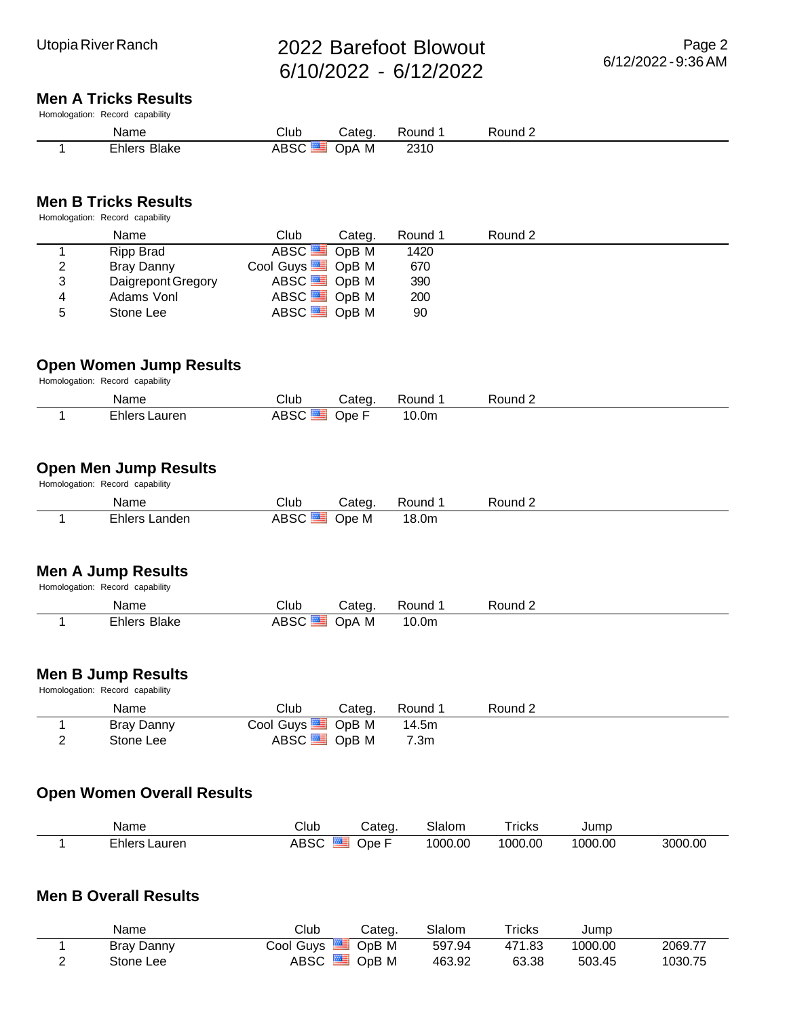#### **Men A Tricks Results**

Homologation: Record capability

| Name<br>_____          | Club   | ∴ateo    | ound:       | Round $\sim$<br>___ |
|------------------------|--------|----------|-------------|---------------------|
| <b>Blake</b><br>∟nlers | $   -$ | M<br>AdC | <b>Z310</b> |                     |

#### **Men B Tricks Results**

Homologation: Record capability

|   | Name               | Club                           | Categ. | Round 1 | Round 2 |  |
|---|--------------------|--------------------------------|--------|---------|---------|--|
|   | Ripp Brad          | ABSC <sup>SS</sup> OpB M       |        | 1420    |         |  |
| 2 | Bray Danny         | Cool Guys $\blacksquare$ OpB M |        | 670     |         |  |
| 3 | Daigrepont Gregory | ABSC <sup>SS</sup> OpB M       |        | 390     |         |  |
| 4 | Adams Vonl         | ABSC <sup>SS</sup> OpB M       |        | 200     |         |  |
| 5 | Stone Lee          | ABSC <sup>SS</sup> OpB M       |        | 90      |         |  |

#### **Open Women Jump Results**

Homologation: Record capability

| Name                           | Club | Categ | ound       | Round $\sim$ |
|--------------------------------|------|-------|------------|--------------|
| $-$<br>.auren<br>— ⊢hlerc<br>. | 1850 | ⊃pe   | ⌒<br>10.0m |              |

#### **Open Men Jump Results Homologation:** Record capability

| Name          | Club        | Categ | Round | ⊃ound ∠ |
|---------------|-------------|-------|-------|---------|
| Ehlers Landen | <b>ABSC</b> | Jpe M | 18.0m |         |

#### **Men A Jump Results**

| Homologation: Record capability |  |  |  |  |  |
|---------------------------------|--|--|--|--|--|

| Name                | Club | Categ. | Round             | Round 2 |
|---------------------|------|--------|-------------------|---------|
| <b>Ehlers Blake</b> | ABSC | OpA M  | 10.0 <sub>m</sub> |         |

#### **Men B Jump Results**

Homologation: Record capability

| Name       | Club                           | Cateɑ. | Round 1 | Round 2 |  |
|------------|--------------------------------|--------|---------|---------|--|
| Bray Danny | Cool Guys $\blacksquare$ OpB M |        | 14.5m   |         |  |
| Stone Lee  | ABSC <sup>ES</sup> OpB M       |        | 7.3m    |         |  |

### **Open Women Overall Results**

| Name             | Club | Cateα | Slalom  | Tricks  | Jumc    |         |
|------------------|------|-------|---------|---------|---------|---------|
| ∈hlers<br>_auren |      | Jpe ⊦ | 1000.00 | 1000.00 | 1000.00 | 3000.00 |

#### **Men B Overall Results**

|   | Name       | Club                                | Cateq. | Slalom | Tricks | Jump    |         |
|---|------------|-------------------------------------|--------|--------|--------|---------|---------|
|   | Bray Danny | $\mathsf{Cool}$ Guvs $\blacksquare$ | OpB M  | 597.94 | 471.83 | 1000.00 | 2069.77 |
| - | Stone Lee  | ABSC <sup>ES</sup>                  | OpB M  | 463.92 | 63.38  | 503.45  | 1030.75 |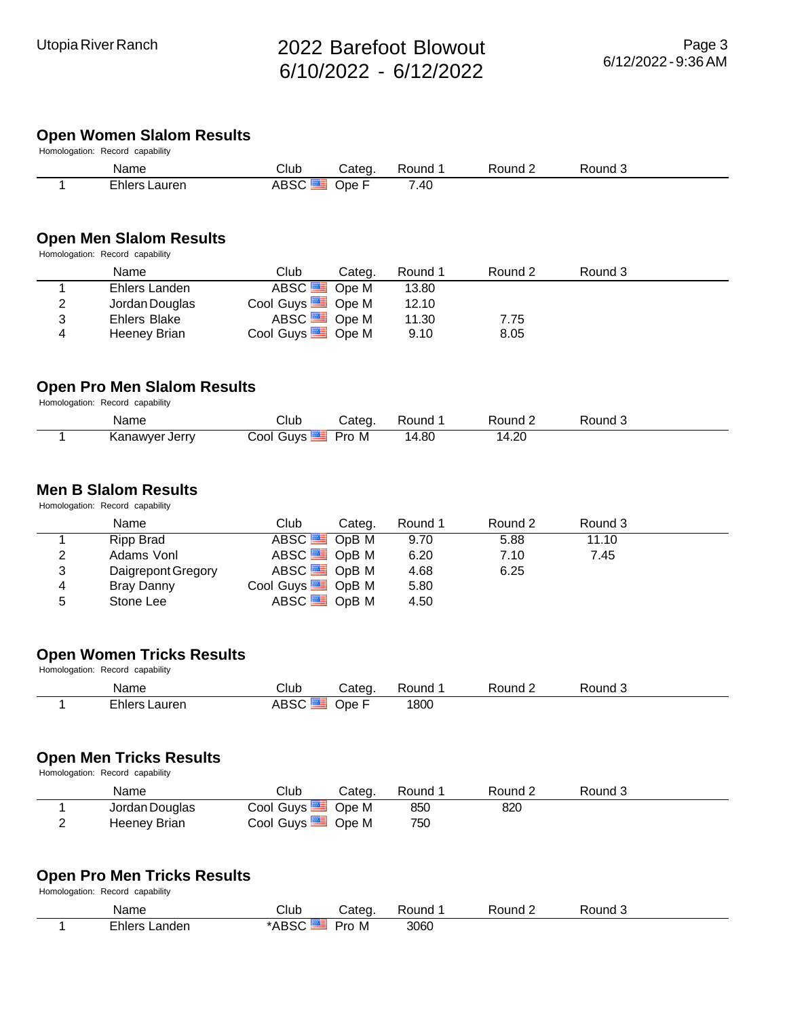## **Open Women Slalom Results**

| Homologation: Record capability |                      |                    |        |         |         |         |  |  |  |
|---------------------------------|----------------------|--------------------|--------|---------|---------|---------|--|--|--|
|                                 | Name                 | Club               | Categ. | Round 1 | Round 2 | Round 3 |  |  |  |
|                                 | <b>Ehlers Lauren</b> | ABSC <sup>EL</sup> | Ope F  | 7.40    |         |         |  |  |  |

#### **Open Men Slalom Results**

Homologation: Record capability

|   | Name           | Club                                | Categ. | Round 1 | Round 2 | Round 3 |
|---|----------------|-------------------------------------|--------|---------|---------|---------|
|   | Ehlers Landen  | ABSC <sup>SS</sup> Ope M            |        | 13.80   |         |         |
| 2 | Jordan Douglas | Cool Guys <sup><b> Come M</b></sup> |        | 12.10   |         |         |
| 3 | Ehlers Blake   | ABSC <sup>SS</sup> Ope M            |        | 11.30   | 7.75    |         |
| 4 | Heeney Brian   | Cool Guys <b>Strategies</b> Ope M   |        | 9.10    | 8.05    |         |

#### **Open Pro Men Slalom Results**

Homologation: Record capability

| Name           | Club      | Cateɑ. | Round | Round 2 | ۔ Round |  |
|----------------|-----------|--------|-------|---------|---------|--|
| Kanawyer Jerry | Cool Guys | Pro M  | 14.80 | 14.20   |         |  |

#### **Men B Slalom Results**

Homologation: Record capability

|   | Name               | Club<br>Categ.               | Round 1 | Round 2 | Round 3 |  |
|---|--------------------|------------------------------|---------|---------|---------|--|
|   | Ripp Brad          | ABSC <sup>SS</sup> OpB M     | 9.70    | 5.88    | 11.10   |  |
| 2 | Adams Vonl         | ABSC <sup>SS</sup> OpBM      | 6.20    | 7.10    | 7.45    |  |
| 3 | Daigrepont Gregory | ABSC <sup>SS</sup> OpB M     | 4.68    | 6.25    |         |  |
| 4 | Bray Danny         | Cool Guys <sup>5</sup> OpB M | 5.80    |         |         |  |
| 5 | Stone Lee          | ABSC <sup>SS</sup> OpB M     | 4.50    |         |         |  |

### **Open Women Tricks Results**

Homologation: Record capability

| Name                          | Club | ⊿atec | ound | R∩und | 'ound |  |
|-------------------------------|------|-------|------|-------|-------|--|
| - 1<br>—rhlerc<br>.auren<br>. | - 1  | )pe   | 1800 |       |       |  |

#### **Open Men Tricks Results**

Homologation: Record capability

| Name           | Club                           | Cateɑ. | Round 1 | Round 2 | Round 3 |  |
|----------------|--------------------------------|--------|---------|---------|---------|--|
| Jordan Douglas | Cool Guys $\blacksquare$ Ope M |        | 850     | 820     |         |  |
| Heeney Brian   | Cool Guys $\blacksquare$ Ope M |        | 750     |         |         |  |

#### **Open Pro Men Tricks Results**

Homologation: Record capability

| Name             | Club                          | Cateo    | ound? | Yound ∠ | Round J |  |
|------------------|-------------------------------|----------|-------|---------|---------|--|
| Ehlers<br>.anden | $\sim$ $\sim$<br>* ^ P<br>טשר | Pro<br>M | 3060  |         |         |  |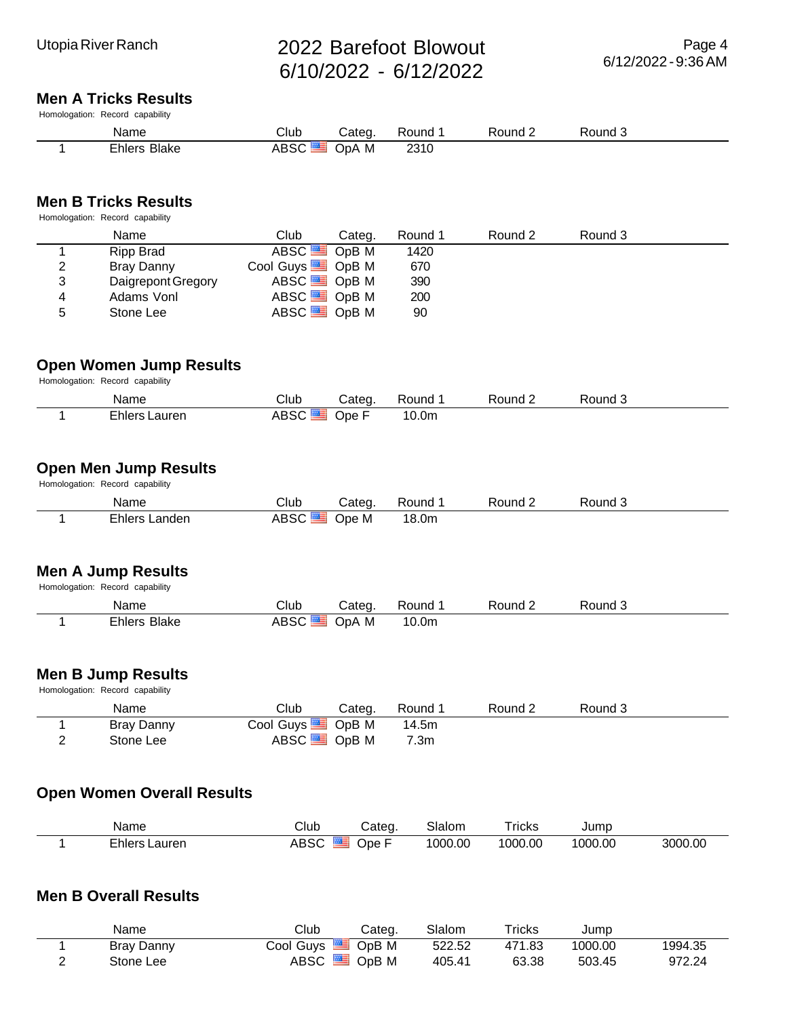#### **Men A Tricks Results**

Homologation: Record capability

| Name                          | Club | atec.    | ınd          | יוח א | ound: |  |
|-------------------------------|------|----------|--------------|-------|-------|--|
| -<br>-rhler<br>3lake<br>_____ | ___  | M<br>)nA | 7211<br>ZJIU |       |       |  |

#### **Men B Tricks Results**

Homologation: Record capability

|   | Name               | Club                           | Categ. | Round 1 | Round 2 | Round 3 |  |
|---|--------------------|--------------------------------|--------|---------|---------|---------|--|
|   | Ripp Brad          | ABSC <sup>SS</sup> OpB M       |        | 1420    |         |         |  |
| 2 | Bray Danny         | Cool Guys $\blacksquare$ OpB M |        | 670     |         |         |  |
| 3 | Daigrepont Gregory | ABSC $\blacksquare$ OpB M      |        | 390     |         |         |  |
| 4 | Adams Vonl         | ABSC <sup>SS</sup> OpB M       |        | 200     |         |         |  |
| 5 | Stone Lee          | ABSC <sup>SS</sup> OpB M       |        | 90      |         |         |  |

#### **Open Women Jump Results**

Homologation: Record capability

| Name                          | Club      | ڪateo    | `ound             | Round $\sim$ | 'ouna |
|-------------------------------|-----------|----------|-------------------|--------------|-------|
| $-$<br>.auren<br>—rhlerc<br>. | $ -$<br>∼ | -<br>Ope | 10.0 <sub>m</sub> |              |       |

#### **Open Men Jump Results Homologation:** Record capability

| Name          | Club | Categ. | Round | Round 2 | Round J |  |
|---------------|------|--------|-------|---------|---------|--|
| Ehlers Landen | ABSC | Jpe M  | 18.0m |         |         |  |

### **Men A Jump Results**

| Homologation: Record capability |                          |        |         |         |         |
|---------------------------------|--------------------------|--------|---------|---------|---------|
| Name                            | Club                     | Categ. | Round 1 | Round 2 | Round 3 |
| Ehlers Blake                    | ABSC <sup>SS</sup> OpA M |        | 10.0m   |         |         |

#### **Men B Jump Results**

Homologation: Record capability

| Name       | Club                           | Categ. | Round 1 | Round 2 | Round 3 |  |
|------------|--------------------------------|--------|---------|---------|---------|--|
| Bray Danny | Cool Guys $\blacksquare$ OpB M |        | 14.5m   |         |         |  |
| Stone Lee  | ABSC <sup>ES</sup> OpB M       |        | 7.3m    |         |         |  |

## **Open Women Overall Results**

| Name             | Club | Cateα | Slalom  | Tricks  | Jumc    |         |
|------------------|------|-------|---------|---------|---------|---------|
| ∈hlers<br>_auren |      | Jpe ⊦ | 1000.00 | 1000.00 | 1000.00 | 3000.00 |

#### **Men B Overall Results**

|   | Name       | Club                                | Categ. | Slalom | Tricks | Jump    |         |
|---|------------|-------------------------------------|--------|--------|--------|---------|---------|
|   | Bray Danny | $\mathsf{Cool}$ Guvs $\blacksquare$ | OpB M  | 522.52 | 471.83 | 1000.00 | 1994.35 |
| - | Stone Lee  | ABSC <sup>ES</sup>                  | OpB M  | 405.41 | 63.38  | 503.45  | 972.24  |